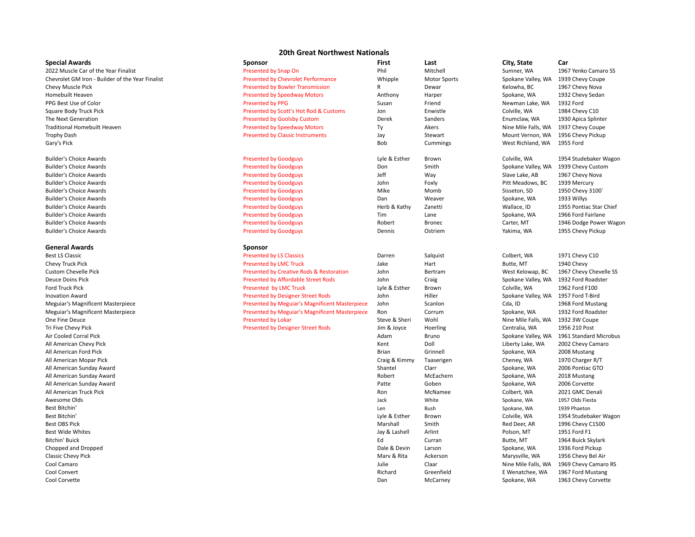## **20th Great Northwest Nationals**

| <b>Special Awards</b>                            | Sponsor                                        | First         | Last                | City, State         | Car                     |
|--------------------------------------------------|------------------------------------------------|---------------|---------------------|---------------------|-------------------------|
| 2022 Muscle Car of the Year Finalist             | Presented by Snap On                           | Phil          | Mitchell            | Sumner, WA          | 1967 Yenko Camaro SS    |
| Chevrolet GM Iron - Builder of the Year Finalist | <b>Presented by Chevrolet Performance</b>      | Whipple       | <b>Motor Sports</b> | Spokane Valley, WA  | 1939 Chevy Coupe        |
| Chevy Muscle Pick                                | <b>Presented by Bowler Transmission</b>        | R             | Dewar               | Kelowha, BC         | 1967 Chevy Nova         |
| Homebuilt Heaven                                 | <b>Presented by Speedway Motors</b>            | Anthony       | Harper              | Spokane, WA         | 1932 Chevy Sedan        |
| PPG Best Use of Color                            | <b>Presented by PPG</b>                        | Susan         | Friend              | Newman Lake, WA     | 1932 Ford               |
| Square Body Truck Pick                           | Presented by Scott's Hot Rod & Customs         | Jon           | Enwistle            | Colville, WA        | 1984 Chevy C10          |
| The Next Generation                              | <b>Presented by Goolsby Custom</b>             | Derek         | Sanders             | Enumclaw, WA        | 1930 Apica Splinter     |
| <b>Traditional Homebuilt Heaven</b>              | <b>Presented by Speedway Motors</b>            | Ty            | Akers               | Nine Mile Falls, WA | 1937 Chevy Coupe        |
| <b>Trophy Dash</b>                               | <b>Presented by Classic Instruments</b>        | Jay           | Stewart             | Mount Vernon, WA    | 1956 Chevy Pickup       |
| Gary's Pick                                      |                                                | Bob           | Cummings            | West Richland, WA   | 1955 Ford               |
| <b>Builder's Choice Awards</b>                   | <b>Presented by Goodguys</b>                   | Lyle & Esther | Brown               | Colville, WA        | 1954 Studebaker Wagon   |
| <b>Builder's Choice Awards</b>                   | <b>Presented by Goodguys</b>                   | Don           | Smith               | Spokane Valley, WA  | 1939 Chevy Custom       |
| <b>Builder's Choice Awards</b>                   | <b>Presented by Goodguys</b>                   | Jeff          | Way                 | Slave Lake, AB      | 1967 Chevy Nova         |
| <b>Builder's Choice Awards</b>                   | <b>Presented by Goodguys</b>                   | John          | Foxly               | Pitt Meadows, BC    | 1939 Mercury            |
| <b>Builder's Choice Awards</b>                   | <b>Presented by Goodguys</b>                   | Mike          | Momb                | Sisseton, SD        | 1950 Chevy 3100         |
| <b>Builder's Choice Awards</b>                   | <b>Presented by Goodguys</b>                   | Dan           | Weaver              | Spokane, WA         | 1933 Willys             |
| <b>Builder's Choice Awards</b>                   | <b>Presented by Goodguys</b>                   | Herb & Kathy  | Zanetti             | Wallace, ID         | 1955 Pontiac Star Chief |
| <b>Builder's Choice Awards</b>                   | <b>Presented by Goodguys</b>                   | Tim           | Lane                | Spokane, WA         | 1966 Ford Fairlane      |
| <b>Builder's Choice Awards</b>                   | <b>Presented by Goodguys</b>                   | Robert        | <b>Bronec</b>       | Carter, MT          | 1946 Dodge Power Wagon  |
| <b>Builder's Choice Awards</b>                   | <b>Presented by Goodguys</b>                   | Dennis        | Ostriem             | Yakima, WA          | 1955 Chevy Pickup       |
| <b>General Awards</b>                            | Sponsor                                        |               |                     |                     |                         |
| <b>Best LS Classic</b>                           | <b>Presented by LS Classics</b>                | Darren        | Salquist            | Colbert, WA         | 1971 Chevy C10          |
| Chevy Truck Pick                                 | <b>Presented by LMC Truck</b>                  | Jake          | Hart                | Butte, MT           | 1940 Chevy              |
| <b>Custom Chevelle Pick</b>                      | Presented by Creative Rods & Restoration       | John          | Bertram             | West Kelowap, BC    | 1967 Chevy Chevelle SS  |
| <b>Deuce Doins Pick</b>                          | <b>Presented by Affordable Street Rods</b>     | John          | Craig               | Spokane Valley, WA  | 1932 Ford Roadster      |
| Ford Truck Pick                                  | Presented by LMC Truck                         | Lyle & Esther | Brown               | Colville, WA        | 1962 Ford F100          |
| <b>Inovation Award</b>                           | <b>Presented by Designer Street Rods</b>       | John          | Hiller              | Spokane Valley, WA  | 1957 Ford T-Bird        |
| <b>Meguiar's Magnificent Masterpiece</b>         | Presented by Meguiar's Magnificent Masterpiece | John          | Scanlon             | Cda, ID             | 1968 Ford Mustang       |
| Meguiar's Magnificent Masterpiece                | Presented by Meguiar's Magnificent Masterpiece | Ron           | Corrum              | Spokane, WA         | 1932 Ford Roadster      |
| One Fine Deuce                                   | <b>Presented by Lokar</b>                      | Steve & Sheri | Wohl                | Nine Mile Falls, WA | 1932 3W Coupe           |
| Tri Five Chevy Pick                              | <b>Presented by Designer Street Rods</b>       | Jim & Joyce   | Hoerling            | Centralia, WA       | 1956 210 Post           |
| Air Cooled Corral Pick                           |                                                | Adam          | Bruno               | Spokane Valley, WA  | 1961 Standard Microbus  |
| All American Chevy Pick                          |                                                | Kent          | Doll                | Liberty Lake, WA    | 2002 Chevy Camaro       |
| All American Ford Pick                           |                                                | <b>Brian</b>  | Grinnell            | Spokane, WA         | 2008 Mustang            |
| All American Mopar Pick                          |                                                | Craig & Kimmy | Taaserigen          | Cheney, WA          | 1970 Charger R/T        |
| All American Sunday Award                        |                                                | Shantel       | Clarr               | Spokane, WA         | 2006 Pontiac GTO        |
| All American Sunday Award                        |                                                | Robert        | McEachern           | Spokane, WA         | 2018 Mustang            |
| All American Sunday Award                        |                                                | Patte         | Goben               | Spokane, WA         | 2006 Corvette           |
| All American Truck Pick                          |                                                | Ron           | McNamee             | Colbert, WA         | 2021 GMC Denali         |
| Awesome Olds                                     |                                                | Jack          | White               | Spokane, WA         | 1957 Olds Fiesta        |
| Best Bitchin'                                    |                                                | Len           | Bush                | Spokane, WA         | 1939 Phaeton            |
| Best Bitchin'                                    |                                                | Lyle & Esther | Brown               | Colville, WA        | 1954 Studebaker Wagon   |
| <b>Best OBS Pick</b>                             |                                                | Marshall      | Smith               | Red Deer, AR        | 1996 Chevy C1500        |
| <b>Best Wide Whites</b>                          |                                                | Jay & Lashell |                     | Polson, MT          | 1951 Ford F1            |
| Bitchin' Buick                                   |                                                | Ed            | Arlint<br>Curran    | Butte, MT           | 1964 Buick Skylark      |
| Chopped and Dropped                              |                                                | Dale & Devin  | Larson              | Spokane, WA         | 1936 Ford Pickup        |
|                                                  |                                                | Marv & Rita   | Ackerson            |                     | 1956 Chevy Bel Air      |
| Classic Chevy Pick                               |                                                |               |                     | Marysville, WA      |                         |
| Cool Camaro<br>Cool Convert                      |                                                | Julie         | Claar               | Nine Mile Falls, WA | 1969 Chevy Camaro RS    |
|                                                  |                                                | Richard       | Greenfield          | E Wenatchee, WA     | 1967 Ford Mustang       |
| Cool Corvette                                    |                                                | Dan           | McCarney            | Spokane, WA         | 1963 Chevy Corvette     |